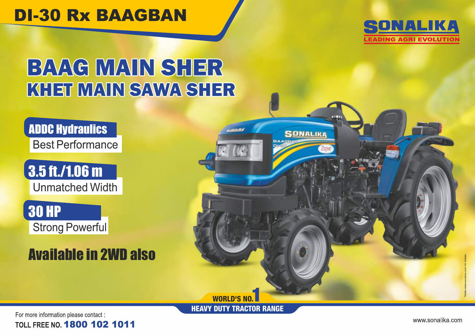## **DI-30 Rx BAAGBAN**



# BAAG MAIN SHER KHET MAIN SAWA SHER

ADDC Hydraulics Best Performance



30 HP Strong Powerful

## Available in 2WD also



HEAVY DUTY TRACTOR RANGE

For more information please contact : **TOLL FREE NO. 1800 102 1011** 

www.sonalika.com